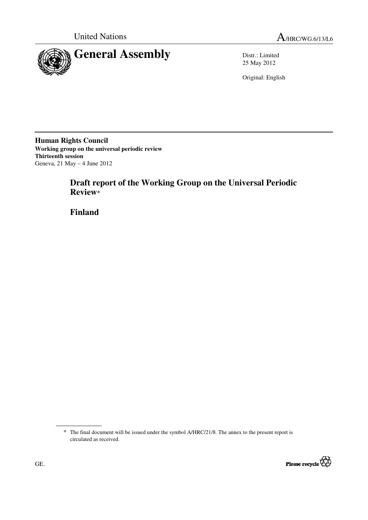

25 May 2012

Original: English

**Human Rights Council Working group on the universal periodic review Thirteenth session**  Geneva, 21 May – 4 June 2012

# **Draft report of the Working Group on the Universal Periodic Review\***

 **Finland** 

<sup>\*</sup> The final document will be issued under the symbol A/HRC/21/8. The annex to the present report is circulated as received.

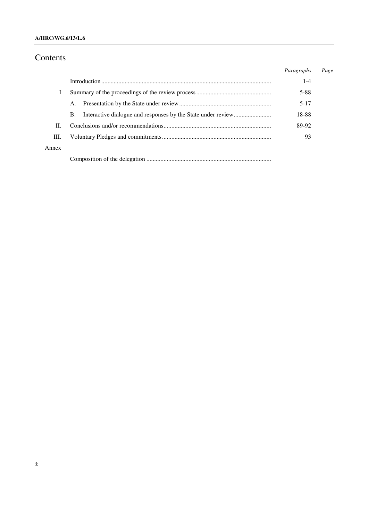### **A/HRC/WG.6/13/L.6**

# Contents

|       |    | Paragraphs | Page |
|-------|----|------------|------|
|       |    | $1 - 4$    |      |
|       |    | 5-88       |      |
|       | A. | $5 - 17$   |      |
|       | В. | 18-88      |      |
| Н.    |    | 89-92      |      |
| III.  |    | 93         |      |
| Annex |    |            |      |
|       |    |            |      |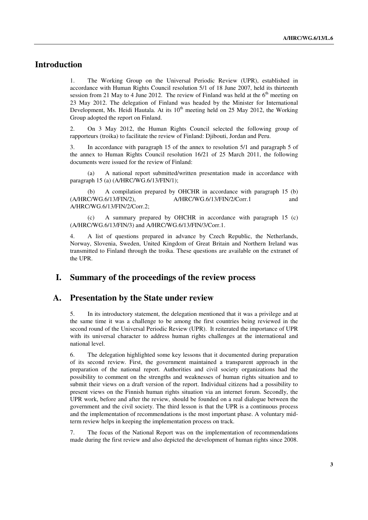# **Introduction**

1. The Working Group on the Universal Periodic Review (UPR), established in accordance with Human Rights Council resolution 5/1 of 18 June 2007, held its thirteenth session from 21 May to 4 June 2012. The review of Finland was held at the  $6<sup>th</sup>$  meeting on 23 May 2012. The delegation of Finland was headed by the Minister for International Development, Ms. Heidi Hautala. At its  $10<sup>th</sup>$  meeting held on 25 May 2012, the Working Group adopted the report on Finland.

2. On 3 May 2012, the Human Rights Council selected the following group of rapporteurs (troika) to facilitate the review of Finland: Djibouti, Jordan and Peru.

3. In accordance with paragraph 15 of the annex to resolution 5/1 and paragraph 5 of the annex to Human Rights Council resolution 16/21 of 25 March 2011, the following documents were issued for the review of Finland:

 (a) A national report submitted/written presentation made in accordance with paragraph 15 (a) (A/HRC/WG.6/13/FIN/1);

(b) A compilation prepared by OHCHR in accordance with paragraph 15 (b) (A/HRC/WG.6/13/FIN/2), A/HRC/WG.6/13/FIN/2/Corr.1 and A/HRC/WG.6/13/FIN/2/Corr.1 and A/HRC/WG.6/13/FIN/2/Corr.2;

(c) A summary prepared by OHCHR in accordance with paragraph 15 (c) (A/HRC/WG.6/13/FIN/3) and A/HRC/WG.6/13/FIN/3/Corr.1.

4. A list of questions prepared in advance by Czech Republic, the Netherlands, Norway, Slovenia, Sweden, United Kingdom of Great Britain and Northern Ireland was transmitted to Finland through the troika. These questions are available on the extranet of the UPR.

# **I. Summary of the proceedings of the review process**

### **A. Presentation by the State under review**

5. In its introductory statement, the delegation mentioned that it was a privilege and at the same time it was a challenge to be among the first countries being reviewed in the second round of the Universal Periodic Review (UPR). It reiterated the importance of UPR with its universal character to address human rights challenges at the international and national level.

6. The delegation highlighted some key lessons that it documented during preparation of its second review. First, the government maintained a transparent approach in the preparation of the national report. Authorities and civil society organizations had the possibility to comment on the strengths and weaknesses of human rights situation and to submit their views on a draft version of the report. Individual citizens had a possibility to present views on the Finnish human rights situation via an internet forum. Secondly, the UPR work, before and after the review, should be founded on a real dialogue between the government and the civil society. The third lesson is that the UPR is a continuous process and the implementation of recommendations is the most important phase. A voluntary midterm review helps in keeping the implementation process on track.

7. The focus of the National Report was on the implementation of recommendations made during the first review and also depicted the development of human rights since 2008.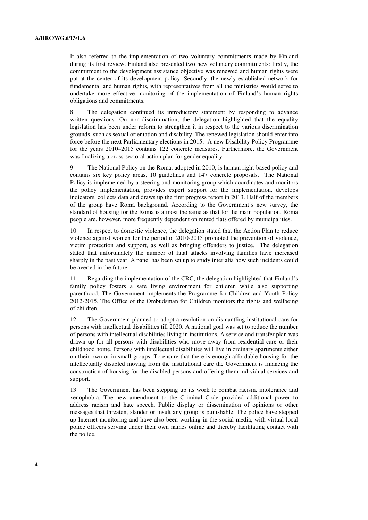It also referred to the implementation of two voluntary commitments made by Finland during its first review. Finland also presented two new voluntary commitments: firstly, the commitment to the development assistance objective was renewed and human rights were put at the center of its development policy. Secondly, the newly established network for fundamental and human rights, with representatives from all the ministries would serve to undertake more effective monitoring of the implementation of Finland's human rights obligations and commitments.

8. The delegation continued its introductory statement by responding to advance written questions. On non-discrimination, the delegation highlighted that the equality legislation has been under reform to strengthen it in respect to the various discrimination grounds, such as sexual orientation and disability. The renewed legislation should enter into force before the next Parliamentary elections in 2015. A new Disability Policy Programme for the years 2010–2015 contains 122 concrete measures. Furthermore, the Government was finalizing a cross-sectoral action plan for gender equality.

9. The National Policy on the Roma, adopted in 2010, is human right-based policy and contains six key policy areas, 10 guidelines and 147 concrete proposals. The National Policy is implemented by a steering and monitoring group which coordinates and monitors the policy implementation, provides expert support for the implementation, develops indicators, collects data and draws up the first progress report in 2013. Half of the members of the group have Roma background. According to the Government's new survey, the standard of housing for the Roma is almost the same as that for the main population. Roma people are, however, more frequently dependent on rented flats offered by municipalities.

In respect to domestic violence, the delegation stated that the Action Plan to reduce violence against women for the period of 2010-2015 promoted the prevention of violence, victim protection and support, as well as bringing offenders to justice. The delegation stated that unfortunately the number of fatal attacks involving families have increased sharply in the past year. A panel has been set up to study inter alia how such incidents could be averted in the future.

11. Regarding the implementation of the CRC, the delegation highlighted that Finland's family policy fosters a safe living environment for children while also supporting parenthood. The Government implements the Programme for Children and Youth Policy 2012-2015. The Office of the Ombudsman for Children monitors the rights and wellbeing of children.

12. The Government planned to adopt a resolution on dismantling institutional care for persons with intellectual disabilities till 2020. A national goal was set to reduce the number of persons with intellectual disabilities living in institutions. A service and transfer plan was drawn up for all persons with disabilities who move away from residential care or their childhood home. Persons with intellectual disabilities will live in ordinary apartments either on their own or in small groups. To ensure that there is enough affordable housing for the intellectually disabled moving from the institutional care the Government is financing the construction of housing for the disabled persons and offering them individual services and support.

13. The Government has been stepping up its work to combat racism, intolerance and xenophobia. The new amendment to the Criminal Code provided additional power to address racism and hate speech. Public display or dissemination of opinions or other messages that threaten, slander or insult any group is punishable. The police have stepped up Internet monitoring and have also been working in the social media, with virtual local police officers serving under their own names online and thereby facilitating contact with the police.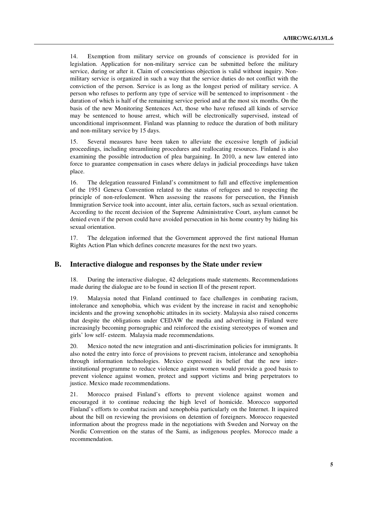14. Exemption from military service on grounds of conscience is provided for in legislation. Application for non-military service can be submitted before the military service, during or after it. Claim of conscientious objection is valid without inquiry. Nonmilitary service is organized in such a way that the service duties do not conflict with the conviction of the person. Service is as long as the longest period of military service. A person who refuses to perform any type of service will be sentenced to imprisonment - the duration of which is half of the remaining service period and at the most six months. On the basis of the new Monitoring Sentences Act, those who have refused all kinds of service may be sentenced to house arrest, which will be electronically supervised, instead of unconditional imprisonment. Finland was planning to reduce the duration of both military and non-military service by 15 days.

15. Several measures have been taken to alleviate the excessive length of judicial proceedings, including streamlining procedures and reallocating resources. Finland is also examining the possible introduction of plea bargaining. In 2010, a new law entered into force to guarantee compensation in cases where delays in judicial proceedings have taken place.

16. The delegation reassured Finland's commitment to full and effective implemention of the 1951 Geneva Convention related to the status of refugees and to respecting the principle of non-refoulement. When assessing the reasons for persecution, the Finnish Immigration Service took into account, inter alia, certain factors, such as sexual orientation. According to the recent decision of the Supreme Administrative Court, asylum cannot be denied even if the person could have avoided persecution in his home country by hiding his sexual orientation.

17. The delegation informed that the Government approved the first national Human Rights Action Plan which defines concrete measures for the next two years.

#### **B. Interactive dialogue and responses by the State under review**

18. During the interactive dialogue, 42 delegations made statements. Recommendations made during the dialogue are to be found in section II of the present report.

Malaysia noted that Finland continued to face challenges in combating racism, intolerance and xenophobia, which was evident by the increase in racist and xenophobic incidents and the growing xenophobic attitudes in its society. Malaysia also raised concerns that despite the obligations under CEDAW the media and advertising in Finland were increasingly becoming pornographic and reinforced the existing stereotypes of women and girls' low self- esteem. Malaysia made recommendations.

20. Mexico noted the new integration and anti-discrimination policies for immigrants. It also noted the entry into force of provisions to prevent racism, intolerance and xenophobia through information technologies. Mexico expressed its belief that the new interinstitutional programme to reduce violence against women would provide a good basis to prevent violence against women, protect and support victims and bring perpetrators to justice. Mexico made recommendations.

21. Morocco praised Finland's efforts to prevent violence against women and encouraged it to continue reducing the high level of homicide. Morocco supported Finland's efforts to combat racism and xenophobia particularly on the Internet. It inquired about the bill on reviewing the provisions on detention of foreigners. Morocco requested information about the progress made in the negotiations with Sweden and Norway on the Nordic Convention on the status of the Sami, as indigenous peoples. Morocco made a recommendation.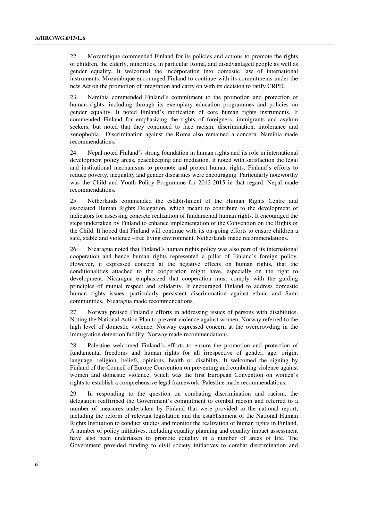22. Mozambique commended Finland for its policies and actions to promote the rights of children, the elderly, minorities, in particular Roma, and disadvantaged people as well as gender equality. It welcomed the incorporation into domestic law of international instruments. Mozambique encouraged Finland to continue with its commitments under the new Act on the promotion of integration and carry on with its decision to ratify CRPD.

23. Namibia commended Finland's commitment to the promotion and protection of human rights, including through its exemplary education programmes and policies on gender equality. It noted Finland's ratification of core human rights instruments. It commended Finland for emphasizing the rights of foreigners, immigrants and asylum seekers, but noted that they continued to face racism, discrimination, intolerance and xenophobia. Discrimination against the Roma also remained a concern. Namibia made recommendations.

24. Nepal noted Finland's strong foundation in human rights and its role in international development policy areas, peacekeeping and mediation. It noted with satisfaction the legal and institutional mechanisms to promote and protect human rights. Finland's efforts to reduce poverty, inequality and gender disparities were encouraging. Particularly noteworthy was the Child and Youth Policy Programme for 2012-2015 in that regard. Nepal made recommendations.

25. Netherlands commended the establishment of the Human Rights Centre and associated Human Rights Delegation, which meant to contribute to the development of indicators for assessing concrete realization of fundamental human rights. It encouraged the steps undertaken by Finland to enhance implementation of the Convention on the Rights of the Child. It hoped that Finland will continue with its on-going efforts to ensure children a safe, stable and violence –free living environment. Netherlands made recommendations.

26. Nicaragua noted that Finland's human rights policy was also part of its international cooperation and hence human rights represented a pillar of Finland's foreign policy. However, it expressed concern at the negative effects on human rights, that the conditionalities attached to the cooperation might have, especially on the right to development. Nicaragua emphasized that cooperation must comply with the guiding principles of mutual respect and solidarity. It encouraged Finland to address domestic human rights issues, particularly persistent discrimination against ethnic and Sami communities. Nicaragua made recommendations.

27. Norway praised Finland's efforts in addressing issues of persons with disabilities. Noting the National Action Plan to prevent violence against women, Norway referred to the high level of domestic violence. Norway expressed concern at the overcrowding in the immigration detention facility. Norway made recommendations.

28. Palestine welcomed Finland's efforts to ensure the promotion and protection of fundamental freedoms and human rights for all irrespective of gender, age, origin, language, religion, beliefs, opinions, health or disability. It welcomed the signing by Finland of the Council of Europe Convention on preventing and combating violence against women and domestic violence, which was the first European Convention on women's rights to establish a comprehensive legal framework. Palestine made recommendations.

29. In responding to the question on combating discrimination and racism, the delegation reaffirmed the Government's commitment to combat racism and referred to a number of measures undertaken by Finland that were provided in the national report, including the reform of relevant legislation and the establishment of the National Human Rights Institution to conduct studies and monitor the realization of human rights in Finland. A number of policy initiatives, including equality planning and equality impact assessment have also been undertaken to promote equality in a number of areas of life. The Government provided funding to civil society initiatives to combat discrimination and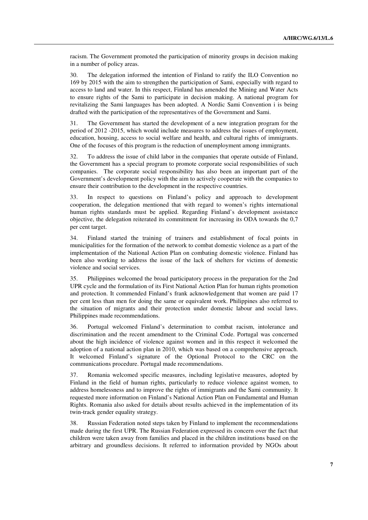racism. The Government promoted the participation of minority groups in decision making in a number of policy areas.

30. The delegation informed the intention of Finland to ratify the ILO Convention no 169 by 2015 with the aim to strengthen the participation of Sami, especially with regard to access to land and water. In this respect, Finland has amended the Mining and Water Acts to ensure rights of the Sami to participate in decision making. A national program for revitalizing the Sami languages has been adopted. A Nordic Sami Convention i is being drafted with the participation of the representatives of the Government and Sami.

31. The Government has started the development of a new integration program for the period of 2012 -2015, which would include measures to address the issues of employment, education, housing, access to social welfare and health, and cultural rights of immigrants. One of the focuses of this program is the reduction of unemployment among immigrants.

32. To address the issue of child labor in the companies that operate outside of Finland, the Government has a special program to promote corporate social responsibilities of such companies. The corporate social responsibility has also been an important part of the Government's development policy with the aim to actively cooperate with the companies to ensure their contribution to the development in the respective countries.

33. In respect to questions on Finland's policy and approach to development cooperation, the delegation mentioned that with regard to women's rights international human rights standards must be applied. Regarding Finland's development assistance objective, the delegation reiterated its commitment for increasing its ODA towards the 0,7 per cent target.

34. Finland started the training of trainers and establishment of focal points in municipalities for the formation of the network to combat domestic violence as a part of the implementation of the National Action Plan on combating domestic violence. Finland has been also working to address the issue of the lack of shelters for victims of domestic violence and social services.

35. Philippines welcomed the broad participatory process in the preparation for the 2nd UPR cycle and the formulation of its First National Action Plan for human rights promotion and protection. It commended Finland's frank acknowledgement that women are paid 17 per cent less than men for doing the same or equivalent work. Philippines also referred to the situation of migrants and their protection under domestic labour and social laws. Philippines made recommendations.

36. Portugal welcomed Finland's determination to combat racism, intolerance and discrimination and the recent amendment to the Criminal Code. Portugal was concerned about the high incidence of violence against women and in this respect it welcomed the adoption of a national action plan in 2010, which was based on a comprehensive approach. It welcomed Finland's signature of the Optional Protocol to the CRC on the communications procedure. Portugal made recommendations.

37. Romania welcomed specific measures, including legislative measures, adopted by Finland in the field of human rights, particularly to reduce violence against women, to address homelessness and to improve the rights of immigrants and the Sami community. It requested more information on Finland's National Action Plan on Fundamental and Human Rights. Romania also asked for details about results achieved in the implementation of its twin-track gender equality strategy.

38. Russian Federation noted steps taken by Finland to implement the recommendations made during the first UPR. The Russian Federation expressed its concern over the fact that children were taken away from families and placed in the children institutions based on the arbitrary and groundless decisions. It referred to information provided by NGOs about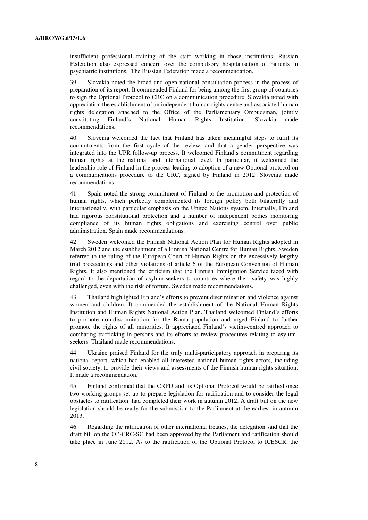insufficient professional training of the staff working in those institutions. Russian Federation also expressed concern over the compulsory hospitalisation of patients in psychiatric institutions. The Russian Federation made a recommendation.

39. Slovakia noted the broad and open national consultation process in the process of preparation of its report. It commended Finland for being among the first group of countries to sign the Optional Protocol to CRC on a communication procedure. Slovakia noted with appreciation the establishment of an independent human rights centre and associated human rights delegation attached to the Office of the Parliamentary Ombudsman, jointly constituting Finland's National Human Rights Institution. Slovakia made constituting Finland's National Human Rights Institution. Slovakia made recommendations.

40. Slovenia welcomed the fact that Finland has taken meaningful steps to fulfil its commitments from the first cycle of the review, and that a gender perspective was integrated into the UPR follow-up process. It welcomed Finland's commitment regarding human rights at the national and international level. In particular, it welcomed the leadership role of Finland in the process leading to adoption of a new Optional protocol on a communications procedure to the CRC, signed by Finland in 2012. Slovenia made recommendations.

41. Spain noted the strong commitment of Finland to the promotion and protection of human rights, which perfectly complemented its foreign policy both bilaterally and internationally, with particular emphasis on the United Nations system. Internally, Finland had rigorous constitutional protection and a number of independent bodies monitoring compliance of its human rights obligations and exercising control over public administration. Spain made recommendations.

42. Sweden welcomed the Finnish National Action Plan for Human Rights adopted in March 2012 and the establishment of a Finnish National Centre for Human Rights. Sweden referred to the ruling of the European Court of Human Rights on the excessively lengthy trial proceedings and other violations of article 6 of the European Convention of Human Rights. It also mentioned the criticism that the Finnish Immigration Service faced with regard to the deportation of asylum-seekers to countries where their safety was highly challenged, even with the risk of torture. Sweden made recommendations.

43. Thailand highlighted Finland's efforts to prevent discrimination and violence against women and children. It commended the establishment of the National Human Rights Institution and Human Rights National Action Plan. Thailand welcomed Finland's efforts to promote non-discrimination for the Roma population and urged Finland to further promote the rights of all minorities. It appreciated Finland's victim-centred approach to combating trafficking in persons and its efforts to review procedures relating to asylumseekers. Thailand made recommendations.

44. Ukraine praised Finland for the truly multi-participatory approach in preparing its national report, which had enabled all interested national human rights actors, including civil society, to provide their views and assessments of the Finnish human rights situation. It made a recommendation.

45. Finland confirmed that the CRPD and its Optional Protocol would be ratified once two working groups set up to prepare legislation for ratification and to consider the legal obstacles to ratification had completed their work in autumn 2012. A draft bill on the new legislation should be ready for the submission to the Parliament at the earliest in autumn 2013.

46. Regarding the ratification of other international treaties, the delegation said that the draft bill on the OP-CRC-SC had been approved by the Parliament and ratification should take place in June 2012. As to the ratification of the Optional Protocol to ICESCR, the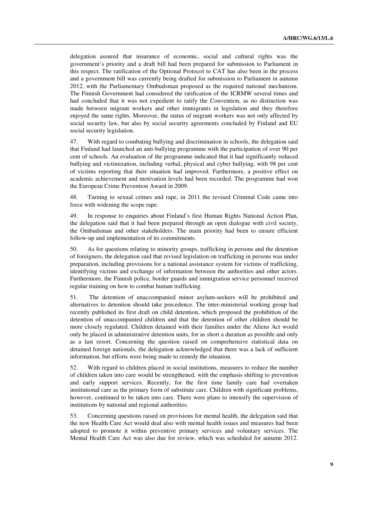delegation assured that insurance of economic, social and cultural rights was the government's priority and a draft bill had been prepared for submission to Parliament in this respect. The ratification of the Optional Protocol to CAT has also been in the process and a government bill was currently being drafted for submission to Parliament in autumn 2012, with the Parliamentary Ombudsman proposed as the required national mechanism. The Finnish Government had considered the ratification of the ICRMW several times and had concluded that it was not expedient to ratify the Convention, as no distinction was made between migrant workers and other immigrants in legislation and they therefore enjoyed the same rights. Moreover, the status of migrant workers was not only affected by social security law, but also by social security agreements concluded by Finland and EU social security legislation.

47. With regard to combating bullying and discrimination in schools, the delegation said that Finland had launched an anti-bullying programme with the participation of over 90 per cent of schools. An evaluation of the programme indicated that it had significantly reduced bullying and victimization, including verbal, physical and cyber bullying, with 98 per cent of victims reporting that their situation had improved. Furthermore, a positive effect on academic achievement and motivation levels had been recorded. The programme had won the European Crime Prevention Award in 2009.

48. Turning to sexual crimes and rape, in 2011 the revised Criminal Code came into force with widening the scope rape.

49. In response to enquiries about Finland's first Human Rights National Action Plan, the delegation said that it had been prepared through an open dialogue with civil society, the Ombudsman and other stakeholders. The main priority had been to ensure efficient follow-up and implementation of its commitments.

50. As for questions relating to minority groups, trafficking in persons and the detention of foreigners, the delegation said that revised legislation on trafficking in persons was under preparation, including provisions for a national assistance system for victims of trafficking, identifying victims and exchange of information between the authorities and other actors. Furthermore, the Finnish police, border guards and immigration service personnel received regular training on how to combat human trafficking.

51. The detention of unaccompanied minor asylum-seekers will be prohibited and alternatives to detention should take precedence. The inter-ministerial working group had recently published its first draft on child detention, which proposed the prohibition of the detention of unaccompanied children and that the detention of other children should be more closely regulated. Children detained with their families under the Aliens Act would only be placed in administrative detention units, for as short a duration as possible and only as a last resort. Concerning the question raised on comprehensive statistical data on detained foreign nationals, the delegation acknowledged that there was a lack of sufficient information, but efforts were being made to remedy the situation.

52. With regard to children placed in social institutions, measures to reduce the number of children taken into care would be strengthened, with the emphasis shifting to prevention and early support services. Recently, for the first time family care had overtaken institutional care as the primary form of substitute care. Children with significant problems, however, continued to be taken into care. There were plans to intensify the supervision of institutions by national and regional authorities.

53. Concerning questions raised on provisions for mental health, the delegation said that the new Health Care Act would deal also with mental health issues and measures had been adopted to promote it within preventive primary services and voluntary services. The Mental Health Care Act was also due for review, which was scheduled for autumn 2012.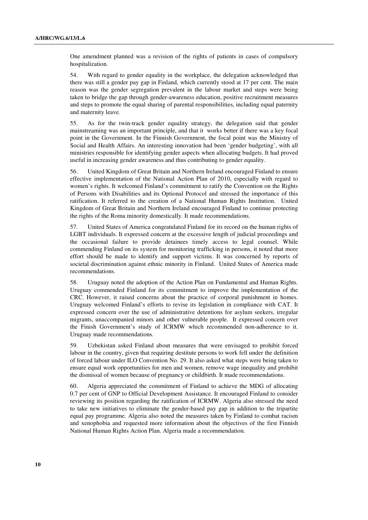One amendment planned was a revision of the rights of patients in cases of compulsory hospitalization.

54. With regard to gender equality in the workplace, the delegation acknowledged that there was still a gender pay gap in Finland, which currently stood at 17 per cent. The main reason was the gender segregation prevalent in the labour market and steps were being taken to bridge the gap through gender-awareness education, positive recruitment measures and steps to promote the equal sharing of parental responsibilities, including equal paternity and maternity leave.

55. As for the twin-track gender equality strategy, the delegation said that gender mainstreaming was an important principle, and that it works better if there was a key focal point in the Government. In the Finnish Government, the focal point was the Ministry of Social and Health Affairs. An interesting innovation had been 'gender budgeting', with all ministries responsible for identifying gender aspects when allocating budgets. It had proved useful in increasing gender awareness and thus contributing to gender equality.

56. United Kingdom of Great Britain and Northern Ireland encouraged Finland to ensure effective implementation of the National Action Plan of 2010, especially with regard to women's rights. It welcomed Finland's commitment to ratify the Convention on the Rights of Persons with Disabilities and its Optional Protocol and stressed the importance of this ratification. It referred to the creation of a National Human Rights Institution. United Kingdom of Great Britain and Northern Ireland encouraged Finland to continue protecting the rights of the Roma minority domestically. It made recommendations.

57. United States of America congratulated Finland for its record on the human rights of LGBT individuals. It expressed concern at the excessive length of judicial proceedings and the occasional failure to provide detainees timely access to legal counsel. While commending Finland on its system for monitoring trafficking in persons, it noted that more effort should be made to identify and support victims. It was concerned by reports of societal discrimination against ethnic minority in Finland. United States of America made recommendations.

58. Uruguay noted the adoption of the Action Plan on Fundamental and Human Rights. Uruguay commended Finland for its commitment to improve the implementation of the CRC. However, it raised concerns about the practice of corporal punishment in homes. Uruguay welcomed Finland's efforts to revise its legislation in compliance with CAT. It expressed concern over the use of administrative detentions for asylum seekers, irregular migrants, unaccompanied minors and other vulnerable people. It expressed concern over the Finish Government's study of ICRMW which recommended non-adherence to it. Uruguay made recommendations.

59. Uzbekistan asked Finland about measures that were envisaged to prohibit forced labour in the country, given that requiring destitute persons to work fell under the definition of forced labour under ILO Convention No. 29. It also asked what steps were being taken to ensure equal work opportunities for men and women, remove wage inequality and prohibit the dismissal of women because of pregnancy or childbirth. It made recommendations.

60. Algeria appreciated the commitment of Finland to achieve the MDG of allocating 0.7 per cent of GNP to Official Development Assistance. It encouraged Finland to consider reviewing its position regarding the ratification of ICRMW. Algeria also stressed the need to take new initiatives to eliminate the gender-based pay gap in addition to the tripartite equal pay programme. Algeria also noted the measures taken by Finland to combat racism and xenophobia and requested more information about the objectives of the first Finnish National Human Rights Action Plan. Algeria made a recommendation.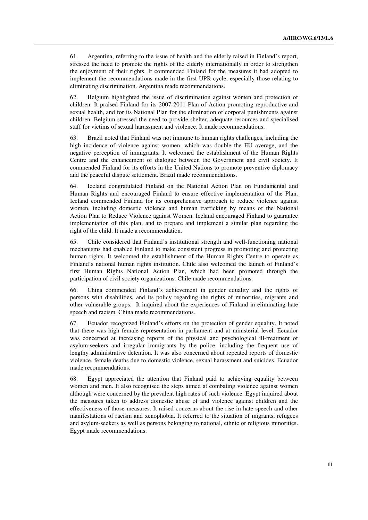61. Argentina, referring to the issue of health and the elderly raised in Finland's report, stressed the need to promote the rights of the elderly internationally in order to strengthen the enjoyment of their rights. It commended Finland for the measures it had adopted to implement the recommendations made in the first UPR cycle, especially those relating to eliminating discrimination. Argentina made recommendations.

62. Belgium highlighted the issue of discrimination against women and protection of children. It praised Finland for its 2007-2011 Plan of Action promoting reproductive and sexual health, and for its National Plan for the elimination of corporal punishments against children. Belgium stressed the need to provide shelter, adequate resources and specialised staff for victims of sexual harassment and violence. It made recommendations.

63. Brazil noted that Finland was not immune to human rights challenges, including the high incidence of violence against women, which was double the EU average, and the negative perception of immigrants. It welcomed the establishment of the Human Rights Centre and the enhancement of dialogue between the Government and civil society. It commended Finland for its efforts in the United Nations to promote preventive diplomacy and the peaceful dispute settlement. Brazil made recommendations.

64. Iceland congratulated Finland on the National Action Plan on Fundamental and Human Rights and encouraged Finland to ensure effective implementation of the Plan. Iceland commended Finland for its comprehensive approach to reduce violence against women, including domestic violence and human trafficking by means of the National Action Plan to Reduce Violence against Women. Iceland encouraged Finland to guarantee implementation of this plan; and to prepare and implement a similar plan regarding the right of the child. It made a recommendation.

65. Chile considered that Finland's institutional strength and well-functioning national mechanisms had enabled Finland to make consistent progress in promoting and protecting human rights. It welcomed the establishment of the Human Rights Centre to operate as Finland's national human rights institution. Chile also welcomed the launch of Finland's first Human Rights National Action Plan, which had been promoted through the participation of civil society organizations. Chile made recommendations.

66. China commended Finland's achievement in gender equality and the rights of persons with disabilities, and its policy regarding the rights of minorities, migrants and other vulnerable groups. It inquired about the experiences of Finland in eliminating hate speech and racism. China made recommendations.

67. Ecuador recognized Finland's efforts on the protection of gender equality. It noted that there was high female representation in parliament and at ministerial level. Ecuador was concerned at increasing reports of the physical and psychological ill-treatment of asylum-seekers and irregular immigrants by the police, including the frequent use of lengthy administrative detention. It was also concerned about repeated reports of domestic violence, female deaths due to domestic violence, sexual harassment and suicides. Ecuador made recommendations.

68. Egypt appreciated the attention that Finland paid to achieving equality between women and men. It also recognised the steps aimed at combating violence against women although were concerned by the prevalent high rates of such violence. Egypt inquired about the measures taken to address domestic abuse of and violence against children and the effectiveness of those measures. It raised concerns about the rise in hate speech and other manifestations of racism and xenophobia. It referred to the situation of migrants, refugees and asylum-seekers as well as persons belonging to national, ethnic or religious minorities. Egypt made recommendations.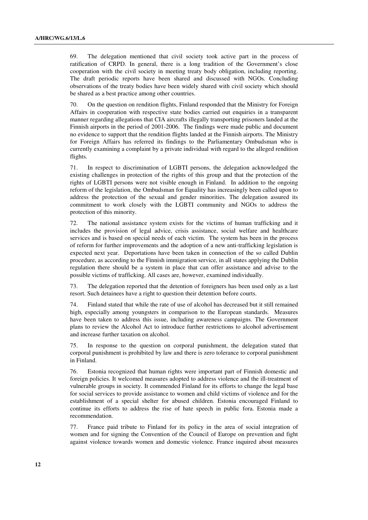69. The delegation mentioned that civil society took active part in the process of ratification of CRPD. In general, there is a long tradition of the Government's close cooperation with the civil society in meeting treaty body obligation, including reporting. The draft periodic reports have been shared and discussed with NGOs. Concluding observations of the treaty bodies have been widely shared with civil society which should be shared as a best practice among other countries.

70. On the question on rendition flights, Finland responded that the Ministry for Foreign Affairs in cooperation with respective state bodies carried out enquiries in a transparent manner regarding allegations that CIA aircrafts illegally transporting prisoners landed at the Finnish airports in the period of 2001-2006. The findings were made public and document no evidence to support that the rendition flights landed at the Finnish airports. The Ministry for Foreign Affairs has referred its findings to the Parliamentary Ombudsman who is currently examining a complaint by a private individual with regard to the alleged rendition flights.

71. In respect to discrimination of LGBTI persons, the delegation acknowledged the existing challenges in protection of the rights of this group and that the protection of the rights of LGBTI persons were not visible enough in Finland. In addition to the ongoing reform of the legislation, the Ombudsman for Equality has increasingly been called upon to address the protection of the sexual and gender minorities. The delegation assured its commitment to work closely with the LGBTI community and NGOs to address the protection of this minority.

72. The national assistance system exists for the victims of human trafficking and it includes the provision of legal advice, crisis assistance, social welfare and healthcare services and is based on special needs of each victim. The system has been in the process of reform for further improvements and the adoption of a new anti-trafficking legislation is expected next year. Deportations have been taken in connection of the so called Dublin procedure, as according to the Finnish immigration service, in all states applying the Dublin regulation there should be a system in place that can offer assistance and advise to the possible victims of trafficking. All cases are, however, examined individually.

73. The delegation reported that the detention of foreigners has been used only as a last resort. Such detainees have a right to question their detention before courts.

74. Finland stated that while the rate of use of alcohol has decreased but it still remained high, especially among youngsters in comparison to the European standards. Measures have been taken to address this issue, including awareness campaigns. The Government plans to review the Alcohol Act to introduce further restrictions to alcohol advertisement and increase further taxation on alcohol.

75. In response to the question on corporal punishment, the delegation stated that corporal punishment is prohibited by law and there is zero tolerance to corporal punishment in Finland.

76. Estonia recognized that human rights were important part of Finnish domestic and foreign policies. It welcomed measures adopted to address violence and the ill-treatment of vulnerable groups in society. It commended Finland for its efforts to change the legal base for social services to provide assistance to women and child victims of violence and for the establishment of a special shelter for abused children. Estonia encouraged Finland to continue its efforts to address the rise of hate speech in public fora. Estonia made a recommendation.

77. France paid tribute to Finland for its policy in the area of social integration of women and for signing the Convention of the Council of Europe on prevention and fight against violence towards women and domestic violence. France inquired about measures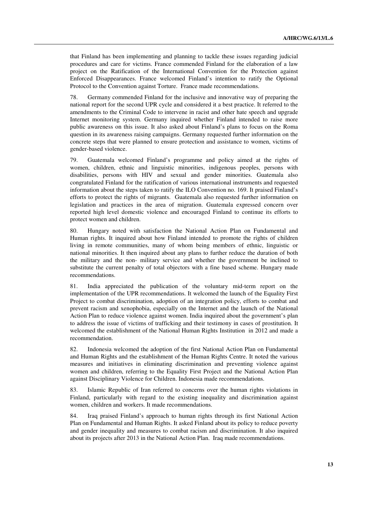that Finland has been implementing and planning to tackle these issues regarding judicial procedures and care for victims. France commended Finland for the elaboration of a law project on the Ratification of the International Convention for the Protection against Enforced Disappearances. France welcomed Finland's intention to ratify the Optional Protocol to the Convention against Torture. France made recommendations.

78. Germany commended Finland for the inclusive and innovative way of preparing the national report for the second UPR cycle and considered it a best practice. It referred to the amendments to the Criminal Code to intervene in racist and other hate speech and upgrade Internet monitoring system. Germany inquired whether Finland intended to raise more public awareness on this issue. It also asked about Finland's plans to focus on the Roma question in its awareness raising campaigns. Germany requested further information on the concrete steps that were planned to ensure protection and assistance to women, victims of gender-based violence.

79. Guatemala welcomed Finland's programme and policy aimed at the rights of women, children, ethnic and linguistic minorities, indigenous peoples, persons with disabilities, persons with HIV and sexual and gender minorities. Guatemala also congratulated Finland for the ratification of various international instruments and requested information about the steps taken to ratify the ILO Convention no. 169. It praised Finland's efforts to protect the rights of migrants. Guatemala also requested further information on legislation and practices in the area of migration. Guatemala expressed concern over reported high level domestic violence and encouraged Finland to continue its efforts to protect women and children.

80. Hungary noted with satisfaction the National Action Plan on Fundamental and Human rights. It inquired about how Finland intended to promote the rights of children living in remote communities, many of whom being members of ethnic, linguistic or national minorities. It then inquired about any plans to further reduce the duration of both the military and the non- military service and whether the government be inclined to substitute the current penalty of total objectors with a fine based scheme. Hungary made recommendations.

81. India appreciated the publication of the voluntary mid-term report on the implementation of the UPR recommendations. It welcomed the launch of the Equality First Project to combat discrimination, adoption of an integration policy, efforts to combat and prevent racism and xenophobia, especially on the Internet and the launch of the National Action Plan to reduce violence against women. India inquired about the government's plan to address the issue of victims of trafficking and their testimony in cases of prostitution. It welcomed the establishment of the National Human Rights Institution in 2012 and made a recommendation.

82. Indonesia welcomed the adoption of the first National Action Plan on Fundamental and Human Rights and the establishment of the Human Rights Centre. It noted the various measures and initiatives in eliminating discrimination and preventing violence against women and children, referring to the Equality First Project and the National Action Plan against Disciplinary Violence for Children. Indonesia made recommendations.

83. Islamic Republic of Iran referred to concerns over the human rights violations in Finland, particularly with regard to the existing inequality and discrimination against women, children and workers. It made recommendations.

84. Iraq praised Finland's approach to human rights through its first National Action Plan on Fundamental and Human Rights. It asked Finland about its policy to reduce poverty and gender inequality and measures to combat racism and discrimination. It also inquired about its projects after 2013 in the National Action Plan. Iraq made recommendations.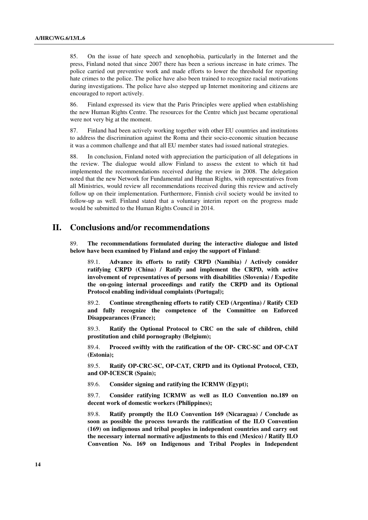85. On the issue of hate speech and xenophobia, particularly in the Internet and the press, Finland noted that since 2007 there has been a serious increase in hate crimes. The police carried out preventive work and made efforts to lower the threshold for reporting hate crimes to the police. The police have also been trained to recognize racial motivations during investigations. The police have also stepped up Internet monitoring and citizens are encouraged to report actively.

86. Finland expressed its view that the Paris Principles were applied when establishing the new Human Rights Centre. The resources for the Centre which just became operational were not very big at the moment.

87. Finland had been actively working together with other EU countries and institutions to address the discrimination against the Roma and their socio-economic situation because it was a common challenge and that all EU member states had issued national strategies.

88. In conclusion, Finland noted with appreciation the participation of all delegations in the review. The dialogue would allow Finland to assess the extent to which tit had implemented the recommendations received during the review in 2008. The delegation noted that the new Network for Fundamental and Human Rights, with representatives from all Ministries, would review all recommendations received during this review and actively follow up on their implementation. Furthermore, Finnish civil society would be invited to follow-up as well. Finland stated that a voluntary interim report on the progress made would be submitted to the Human Rights Council in 2014.

# **II. Conclusions and/or recommendations**

89. **The recommendations formulated during the interactive dialogue and listed below have been examined by Finland and enjoy the support of Finland**:

89.1. **Advance its efforts to ratify CRPD (Namibia) / Actively consider ratifying CRPD (China) / Ratify and implement the CRPD, with active involvement of representatives of persons with disabilities (Slovenia) / Expedite the on-going internal proceedings and ratify the CRPD and its Optional Protocol enabling individual complaints (Portugal);**

89.2. **Continue strengthening efforts to ratify CED (Argentina) / Ratify CED and fully recognize the competence of the Committee on Enforced Disappearances (France);**

89.3. **Ratify the Optional Protocol to CRC on the sale of children, child prostitution and child pornography (Belgium);**

89.4. **Proceed swiftly with the ratification of the OP- CRC-SC and OP-CAT (Estonia);**

89.5. **Ratify OP-CRC-SC, OP-CAT, CRPD and its Optional Protocol, CED, and OP-ICESCR (Spain);**

89.6. **Consider signing and ratifying the ICRMW (Egypt);**

89.7. **Consider ratifying ICRMW as well as ILO Convention no.189 on decent work of domestic workers (Philippines);**

89.8. **Ratify promptly the ILO Convention 169 (Nicaragua) / Conclude as soon as possible the process towards the ratification of the ILO Convention (169) on indigenous and tribal peoples in independent countries and carry out the necessary internal normative adjustments to this end (Mexico) / Ratify ILO Convention No. 169 on Indigenous and Tribal Peoples in Independent**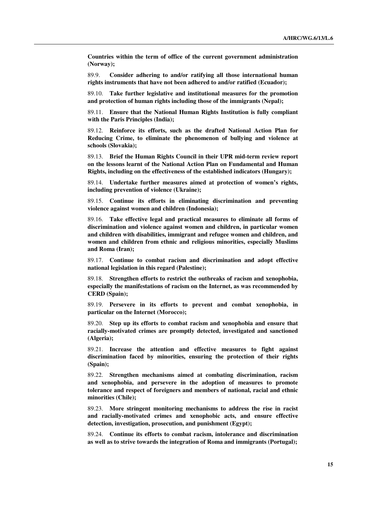**Countries within the term of office of the current government administration (Norway);**

89.9. **Consider adhering to and/or ratifying all those international human rights instruments that have not been adhered to and/or ratified (Ecuador);**

89.10. **Take further legislative and institutional measures for the promotion and protection of human rights including those of the immigrants (Nepal);**

89.11. **Ensure that the National Human Rights Institution is fully compliant with the Paris Principles (India);**

89.12. **Reinforce its efforts, such as the drafted National Action Plan for Reducing Crime, to eliminate the phenomenon of bullying and violence at schools (Slovakia);**

89.13. **Brief the Human Rights Council in their UPR mid-term review report on the lessons learnt of the National Action Plan on Fundamental and Human Rights, including on the effectiveness of the established indicators (Hungary);**

89.14. **Undertake further measures aimed at protection of women's rights, including prevention of violence (Ukraine);**

89.15. **Continue its efforts in eliminating discrimination and preventing violence against women and children (Indonesia);**

89.16. **Take effective legal and practical measures to eliminate all forms of discrimination and violence against women and children, in particular women and children with disabilities, immigrant and refugee women and children, and women and children from ethnic and religious minorities, especially Muslims and Roma (Iran);**

89.17. **Continue to combat racism and discrimination and adopt effective national legislation in this regard (Palestine);**

89.18. **Strengthen efforts to restrict the outbreaks of racism and xenophobia, especially the manifestations of racism on the Internet, as was recommended by CERD (Spain);**

89.19. **Persevere in its efforts to prevent and combat xenophobia, in particular on the Internet (Morocco);**

89.20. **Step up its efforts to combat racism and xenophobia and ensure that racially-motivated crimes are promptly detected, investigated and sanctioned (Algeria);**

89.21. **Increase the attention and effective measures to fight against discrimination faced by minorities, ensuring the protection of their rights (Spain);**

89.22. **Strengthen mechanisms aimed at combating discrimination, racism and xenophobia, and persevere in the adoption of measures to promote tolerance and respect of foreigners and members of national, racial and ethnic minorities (Chile);**

89.23. **More stringent monitoring mechanisms to address the rise in racist and racially-motivated crimes and xenophobic acts, and ensure effective detection, investigation, prosecution, and punishment (Egypt);**

89.24. **Continue its efforts to combat racism, intolerance and discrimination as well as to strive towards the integration of Roma and immigrants (Portugal);**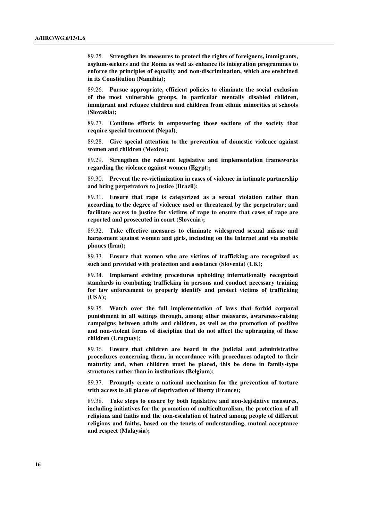89.25. **Strengthen its measures to protect the rights of foreigners, immigrants, asylum-seekers and the Roma as well as enhance its integration programmes to enforce the principles of equality and non-discrimination, which are enshrined in its Constitution (Namibia);**

89.26. **Pursue appropriate, efficient policies to eliminate the social exclusion of the most vulnerable groups, in particular mentally disabled children, immigrant and refugee children and children from ethnic minorities at schools (Slovakia);**

89.27. **Continue efforts in empowering those sections of the society that require special treatment (Nepal)**;

89.28. **Give special attention to the prevention of domestic violence against women and children (Mexico);**

89.29. **Strengthen the relevant legislative and implementation frameworks regarding the violence against women (Egypt);**

89.30. **Prevent the re-victimization in cases of violence in intimate partnership and bring perpetrators to justice (Brazil);**

89.31. **Ensure that rape is categorized as a sexual violation rather than according to the degree of violence used or threatened by the perpetrator; and facilitate access to justice for victims of rape to ensure that cases of rape are reported and prosecuted in court (Slovenia);**

89.32. **Take effective measures to eliminate widespread sexual misuse and harassment against women and girls, including on the Internet and via mobile phones (Iran);**

89.33. **Ensure that women who are victims of trafficking are recognized as such and provided with protection and assistance (Slovenia) (UK);**

89.34. **Implement existing procedures upholding internationally recognized standards in combating trafficking in persons and conduct necessary training for law enforcement to properly identify and protect victims of trafficking (USA);**

89.35. **Watch over the full implementation of laws that forbid corporal punishment in all settings through, among other measures, awareness-raising campaigns between adults and children, as well as the promotion of positive and non-violent forms of discipline that do not affect the upbringing of these children (Uruguay)**;

89.36. **Ensure that children are heard in the judicial and administrative procedures concerning them, in accordance with procedures adapted to their maturity and, when children must be placed, this be done in family-type structures rather than in institutions (Belgium);**

89.37. **Promptly create a national mechanism for the prevention of torture with access to all places of deprivation of liberty (France);**

89.38. **Take steps to ensure by both legislative and non-legislative measures, including initiatives for the promotion of multiculturalism, the protection of all religions and faiths and the non-escalation of hatred among people of different religions and faiths, based on the tenets of understanding, mutual acceptance and respect (Malaysia);**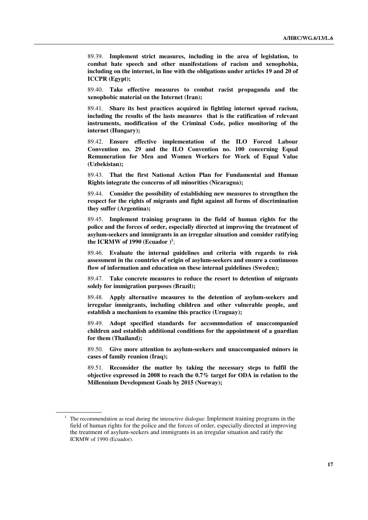89.39. **Implement strict measures, including in the area of legislation, to combat hate speech and other manifestations of racism and xenophobia, including on the internet, in line with the obligations under articles 19 and 20 of ICCPR (Egypt);**

89.40. **Take effective measures to combat racist propaganda and the xenophobic material on the Internet (Iran);**

89.41. **Share its best practices acquired in fighting internet spread racism, including the results of the lasts measures that is the ratification of relevant instruments, modification of the Criminal Code, police monitoring of the internet (Hungary);**

89.42. **Ensure effective implementation of the ILO Forced Labour Convention no. 29 and the ILO Convention no. 100 concerning Equal Remuneration for Men and Women Workers for Work of Equal Value (Uzbekistan);**

89.43. **That the first National Action Plan for Fundamental and Human Rights integrate the concerns of all minorities (Nicaragua);**

89.44. **Consider the possibility of establishing new measures to strengthen the respect for the rights of migrants and fight against all forms of discrimination they suffer (Argentina);**

89.45. **Implement training programs in the field of human rights for the police and the forces of order, especially directed at improving the treatment of asylum-seekers and immigrants in an irregular situation and consider ratifying the ICRMW of 1990 (Ecuador )<sup>1</sup>** ;

89.46. **Evaluate the internal guidelines and criteria with regards to risk assessment in the countries of origin of asylum-seekers and ensure a continuous flow of information and education on these internal guidelines (Sweden);**

89.47. **Take concrete measures to reduce the resort to detention of migrants solely for immigration purposes (Brazil);**

89.48. **Apply alternative measures to the detention of asylum-seekers and irregular immigrants, including children and other vulnerable people, and establish a mechanism to examine this practice (Uruguay);**

89.49. **Adopt specified standards for accommodation of unaccompanied children and establish additional conditions for the appointment of a guardian for them (Thailand);**

89.50. **Give more attention to asylum-seekers and unaccompanied minors in cases of family reunion (Iraq);**

89.51. **Reconsider the matter by taking the necessary steps to fulfil the objective expressed in 2008 to reach the 0.7% target for ODA in relation to the Millennium Development Goals by 2015 (Norway);**

<sup>1</sup> The recommendation as read during the interactive dialogue: Implement training programs in the field of human rights for the police and the forces of order, especially directed at improving the treatment of asylum-seekers and immigrants in an irregular situation and ratify the ICRMW of 1990 (Ecuador).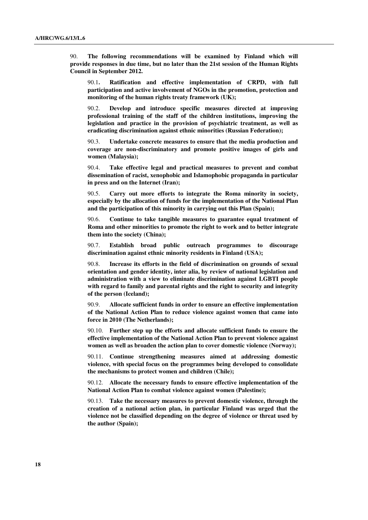90. **The following recommendations will be examined by Finland which will provide responses in due time, but no later than the 21st session of the Human Rights Council in September 2012.**

90.1**. Ratification and effective implementation of CRPD, with full participation and active involvement of NGOs in the promotion, protection and monitoring of the human rights treaty framework (UK);**

90.2. **Develop and introduce specific measures directed at improving professional training of the staff of the children institutions, improving the legislation and practice in the provision of psychiatric treatment, as well as eradicating discrimination against ethnic minorities (Russian Federation);** 

90.3. **Undertake concrete measures to ensure that the media production and coverage are non-discriminatory and promote positive images of girls and women (Malaysia);**

90.4. **Take effective legal and practical measures to prevent and combat dissemination of racist, xenophobic and Islamophobic propaganda in particular in press and on the Internet (Iran);**

90.5. **Carry out more efforts to integrate the Roma minority in society, especially by the allocation of funds for the implementation of the National Plan and the participation of this minority in carrying out this Plan (Spain);**

90.6. **Continue to take tangible measures to guarantee equal treatment of Roma and other minorities to promote the right to work and to better integrate them into the society (China);**

90.7. **Establish broad public outreach programmes to discourage discrimination against ethnic minority residents in Finland (USA);**

90.8. **Increase its efforts in the field of discrimination on grounds of sexual orientation and gender identity, inter alia, by review of national legislation and administration with a view to eliminate discrimination against LGBTI people with regard to family and parental rights and the right to security and integrity of the person (Iceland);**

90.9. **Allocate sufficient funds in order to ensure an effective implementation of the National Action Plan to reduce violence against women that came into force in 2010 (The Netherlands);**

90.10. **Further step up the efforts and allocate sufficient funds to ensure the effective implementation of the National Action Plan to prevent violence against women as well as broaden the action plan to cover domestic violence (Norway);**

90.11. **Continue strengthening measures aimed at addressing domestic violence, with special focus on the programmes being developed to consolidate the mechanisms to protect women and children (Chile);**

90.12. **Allocate the necessary funds to ensure effective implementation of the National Action Plan to combat violence against women (Palestine);**

90.13. **Take the necessary measures to prevent domestic violence, through the creation of a national action plan, in particular Finland was urged that the violence not be classified depending on the degree of violence or threat used by the author (Spain);**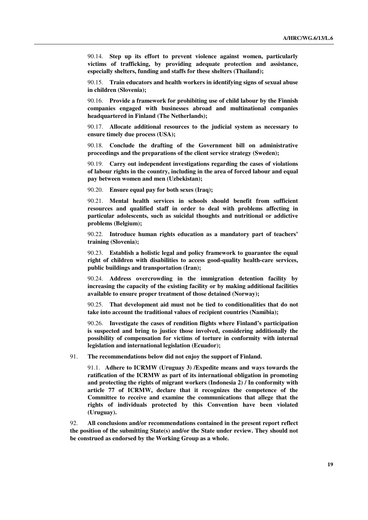90.14. **Step up its effort to prevent violence against women, particularly victims of trafficking, by providing adequate protection and assistance, especially shelters, funding and staffs for these shelters (Thailand);**

90.15. **Train educators and health workers in identifying signs of sexual abuse in children (Slovenia);**

90.16. **Provide a framework for prohibiting use of child labour by the Finnish companies engaged with businesses abroad and multinational companies headquartered in Finland (The Netherlands);**

90.17. **Allocate additional resources to the judicial system as necessary to ensure timely due process (USA);**

90.18. **Conclude the drafting of the Government bill on administrative proceedings and the preparations of the client service strategy (Sweden);**

90.19. **Carry out independent investigations regarding the cases of violations of labour rights in the country, including in the area of forced labour and equal pay between women and men (Uzbekistan);**

90.20. **Ensure equal pay for both sexes (Iraq);**

90.21. **Mental health services in schools should benefit from sufficient resources and qualified staff in order to deal with problems affecting in particular adolescents, such as suicidal thoughts and nutritional or addictive problems (Belgium);**

90.22. **Introduce human rights education as a mandatory part of teachers' training (Slovenia);**

90.23. **Establish a holistic legal and policy framework to guarantee the equal right of children with disabilities to access good-quality health-care services, public buildings and transportation (Iran);**

90.24. **Address overcrowding in the immigration detention facility by increasing the capacity of the existing facility or by making additional facilities available to ensure proper treatment of those detained (Norway);**

90.25. **That development aid must not be tied to conditionalities that do not take into account the traditional values of recipient countries (Namibia);**

90.26. **Investigate the cases of rendition flights where Finland's participation is suspected and bring to justice those involved, considering additionally the possibility of compensation for victims of torture in conformity with internal legislation and international legislation (Ecuador);**

91. **The recommendations below did not enjoy the support of Finland.**

91.1. **Adhere to ICRMW (Uruguay 3) /Expedite means and ways towards the ratification of the ICRMW as part of its international obligation in promoting and protecting the rights of migrant workers (Indonesia 2) / In conformity with article 77 of ICRMW, declare that it recognizes the competence of the Committee to receive and examine the communications that allege that the rights of individuals protected by this Convention have been violated (Uruguay).**

92. **All conclusions and/or recommendations contained in the present report reflect the position of the submitting State(s) and/or the State under review. They should not be construed as endorsed by the Working Group as a whole.**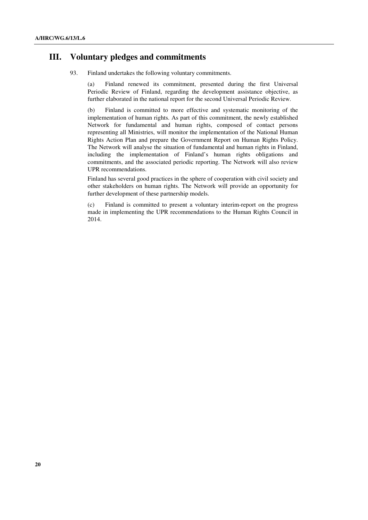### **III. Voluntary pledges and commitments**

93. Finland undertakes the following voluntary commitments.

(a) Finland renewed its commitment, presented during the first Universal Periodic Review of Finland, regarding the development assistance objective, as further elaborated in the national report for the second Universal Periodic Review.

(b) Finland is committed to more effective and systematic monitoring of the implementation of human rights. As part of this commitment, the newly established Network for fundamental and human rights, composed of contact persons representing all Ministries, will monitor the implementation of the National Human Rights Action Plan and prepare the Government Report on Human Rights Policy. The Network will analyse the situation of fundamental and human rights in Finland, including the implementation of Finland's human rights obligations and commitments, and the associated periodic reporting. The Network will also review UPR recommendations.

Finland has several good practices in the sphere of cooperation with civil society and other stakeholders on human rights. The Network will provide an opportunity for further development of these partnership models.

(c) Finland is committed to present a voluntary interim-report on the progress made in implementing the UPR recommendations to the Human Rights Council in 2014.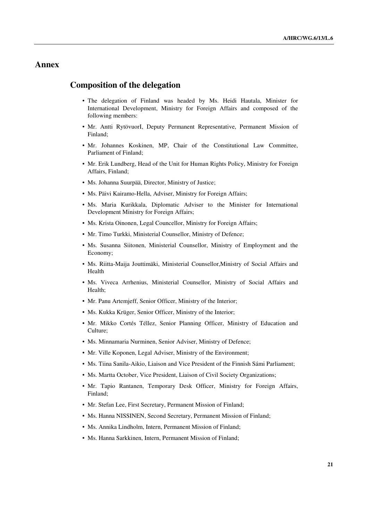## **Annex**

## **Composition of the delegation**

- The delegation of Finland was headed by Ms. Heidi Hautala, Minister for International Development, Ministry for Foreign Affairs and composed of the following members:
- Mr. Antti RytövuorI, Deputy Permanent Representative, Permanent Mission of Finland;
- Mr. Johannes Koskinen, MP, Chair of the Constitutional Law Committee, Parliament of Finland;
- Mr. Erik Lundberg, Head of the Unit for Human Rights Policy, Ministry for Foreign Affairs, Finland;
- Ms. Johanna Suurpää, Director, Ministry of Justice:
- Ms. Päivi Kairamo-Hella, Adviser, Ministry for Foreign Affairs;
- Ms. Maria Kurikkala, Diplomatic Adviser to the Minister for International Development Ministry for Foreign Affairs;
- Ms. Krista Oinonen, Legal Councellor, Ministry for Foreign Affairs;
- Mr. Timo Turkki, Ministerial Counsellor, Ministry of Defence;
- Ms. Susanna Siitonen, Ministerial Counsellor, Ministry of Employment and the Economy;
- Ms. Riitta-Maija Jouttimäki, Ministerial Counsellor,Ministry of Social Affairs and Health
- Ms. Viveca Arrhenius, Ministerial Counsellor, Ministry of Social Affairs and Health;
- Mr. Panu Artemjeff, Senior Officer, Ministry of the Interior;
- Ms. Kukka Krüger, Senior Officer, Ministry of the Interior;
- Mr. Mikko Cortés Téllez, Senior Planning Officer, Ministry of Education and Culture;
- Ms. Minnamaria Nurminen, Senior Adviser, Ministry of Defence;
- Mr. Ville Koponen, Legal Adviser, Ministry of the Environment;
- Ms. Tiina Sanila-Aikio, Liaison and Vice President of the Finnish Sámi Parliament;
- Ms. Martta October, Vice President, Liaison of Civil Society Organizations;
- Mr. Tapio Rantanen, Temporary Desk Officer, Ministry for Foreign Affairs, Finland;
- Mr. Stefan Lee, First Secretary, Permanent Mission of Finland;
- Ms. Hanna NISSINEN, Second Secretary, Permanent Mission of Finland;
- Ms. Annika Lindholm, Intern, Permanent Mission of Finland;
- Ms. Hanna Sarkkinen, Intern, Permanent Mission of Finland;